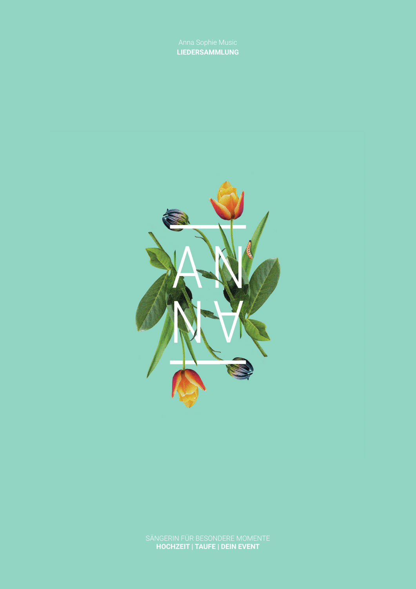**LIEDERSAMMLUNG**

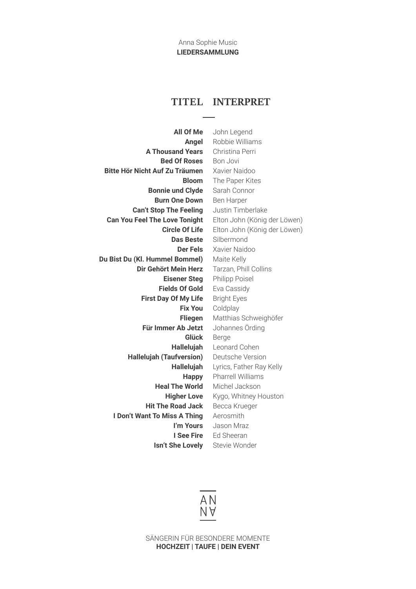Anna Sophie Music **LIEDERSAMMLUNG**

## **TITEL INTERPRET**

**All Of Me Angel A Thousand Years Bed Of Roses Bitte Hör Nicht Auf Zu Träumen Bloom Bonnie und Clyde Burn One Down Can't Stop The Feeling Can You Feel The Love Tonight Circle Of Life Das Beste Der Fels Du Bist Du (Kl. Hummel Bommel) Dir Gehört Mein Herz Eisener Steg Fields Of Gold First Day Of My Life Fix You Fliegen Für Immer Ab Jetzt Glück Hallelujah Hallelujah (Taufversion) Hallelujah Happy Heal The World Higher Love Hit The Road Jack I Don't Want To Miss A Thing I'm Yours I See Fire Isn't She Lovely**

John Legend Robbie Williams Christina Perri Bon Jovi Xavier Naidoo The Paper Kites Sarah Connor Ben Harper Justin Timberlake Elton John (König der Löwen) Elton John (König der Löwen) Silbermond Xavier Naidoo Maite Kelly Tarzan, Phill Collins Philipp Poisel Eva Cassidy Bright Eyes Coldplay Matthias Schweighöfer Johannes Örding Berge Leonard Cohen Deutsche Version Lyrics, Father Ray Kelly Pharrell Williams Michel Jackson Kygo, Whitney Houston Becca Krueger Aerosmith Jason Mraz Ed Sheeran Stevie Wonder

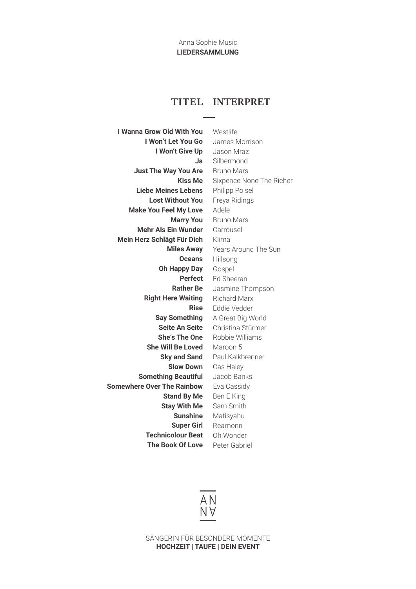## **TITEL INTERPRET**

**I Wanna Grow Old With You I Won't Let You Go I Won't Give Up Ja Just The Way You Are Kiss Me Liebe Meines Lebens Lost Without You Make You Feel My Love Marry You Mehr Als Ein Wunder Mein Herz Schlägt Für Dich Miles Away Oceans Oh Happy Day Perfect Rather Be Right Here Waiting Rise Say Something Seite An Seite She's The One She Will Be Loved Sky and Sand Slow Down Something Beautiful Somewhere Over The Rainbow Stand By Me Stay With Me Sunshine Super Girl Technicolour Beat The Book Of Love**

Westlife James Morrison Jason Mraz Silbermond Bruno Mars Sixpence None The Richer Philipp Poisel Freya Ridings Adele Bruno Mars Carrousel Klima Years Around The Sun Hillsong Gospel Ed Sheeran Jasmine Thompson Richard Marx Eddie Vedder A Great Big World Christina Stürmer Robbie Williams Maroon 5 Paul Kalkbrenner Cas Haley Jacob Banks Eva Cassidy Ben E King Sam Smith Matisyahu Reamonn Oh Wonder Peter Gabriel